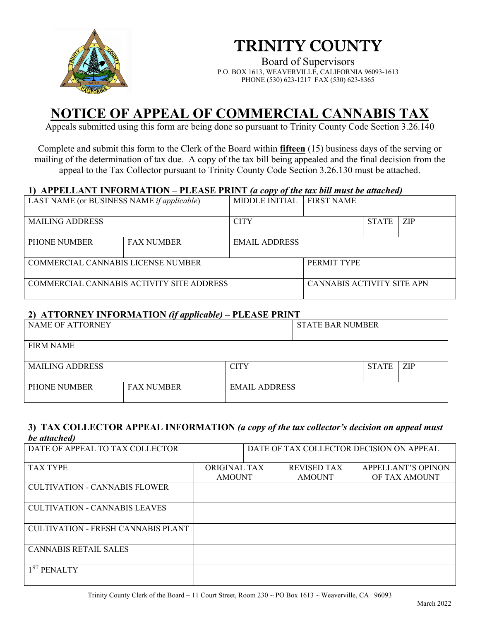

# TRINITY COUNTY

Board of Supervisors P.O. BOX 1613, WEAVERVILLE, CALIFORNIA 96093-1613 PHONE (530) 623-1217 FAX (530) 623-8365

## **NOTICE OF APPEAL OF COMMERCIAL CANNABIS TAX**

Appeals submitted using this form are being done so pursuant to Trinity County Code Section 3.26.140

Complete and submit this form to the Clerk of the Board within **fifteen** (15) business days of the serving or mailing of the determination of tax due. A copy of the tax bill being appealed and the final decision from the appeal to the Tax Collector pursuant to Trinity County Code Section 3.26.130 must be attached.

#### **1) APPELLANT INFORMATION – PLEASE PRINT** *(a copy of the tax bill must be attached)*

| LAST NAME (or BUSINESS NAME if applicable) |                   | <b>MIDDLE INITIAL</b> | <b>FIRST NAME</b>          |              |            |
|--------------------------------------------|-------------------|-----------------------|----------------------------|--------------|------------|
|                                            |                   |                       |                            |              |            |
| <b>MAILING ADDRESS</b>                     |                   | <b>CITY</b>           |                            | <b>STATE</b> | <b>ZIP</b> |
|                                            |                   |                       |                            |              |            |
| PHONE NUMBER                               | <b>FAX NUMBER</b> | <b>EMAIL ADDRESS</b>  |                            |              |            |
|                                            |                   |                       |                            |              |            |
| COMMERCIAL CANNABIS LICENSE NUMBER         |                   | PERMIT TYPE           |                            |              |            |
|                                            |                   |                       |                            |              |            |
| COMMERCIAL CANNABIS ACTIVITY SITE ADDRESS  |                   |                       | CANNABIS ACTIVITY SITE APN |              |            |
|                                            |                   |                       |                            |              |            |

#### **2) ATTORNEY INFORMATION** *(if applicable)* **– PLEASE PRINT**

| NAME OF ATTORNEY       | . <i>.</i>        |                      | <b>STATE BAR NUMBER</b> |              |            |
|------------------------|-------------------|----------------------|-------------------------|--------------|------------|
| <b>FIRM NAME</b>       |                   |                      |                         |              |            |
| <b>MAILING ADDRESS</b> |                   | <b>CITY</b>          |                         | <b>STATE</b> | <b>ZIP</b> |
| <b>PHONE NUMBER</b>    | <b>FAX NUMBER</b> | <b>EMAIL ADDRESS</b> |                         |              |            |

#### **3) TAX COLLECTOR APPEAL INFORMATION** *(a copy of the tax collector's decision on appeal must be attached)*

| DATE OF APPEAL TO TAX COLLECTOR           |               |                    | DATE OF TAX COLLECTOR DECISION ON APPEAL |
|-------------------------------------------|---------------|--------------------|------------------------------------------|
| <b>TAX TYPE</b>                           | ORIGINAL TAX  | <b>REVISED TAX</b> | <b>APPELLANT'S OPINON</b>                |
|                                           | <b>AMOUNT</b> | <b>AMOUNT</b>      | OF TAX AMOUNT                            |
| <b>CULTIVATION - CANNABIS FLOWER</b>      |               |                    |                                          |
| <b>CULTIVATION - CANNABIS LEAVES</b>      |               |                    |                                          |
| <b>CULTIVATION - FRESH CANNABIS PLANT</b> |               |                    |                                          |
| <b>CANNABIS RETAIL SALES</b>              |               |                    |                                          |
| 1 <sup>ST</sup> PENALTY                   |               |                    |                                          |